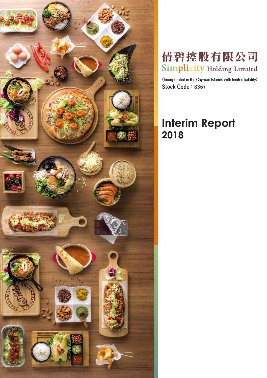

# 倩碧控股有限公司 Simplicity Holding Limited

**(Incorporated in the Cayman Islands with limited liability) Stock Code:8367**

# **Interim Report 2018**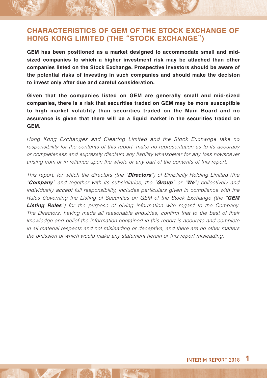### **CHARACTERISTICS OF GEM OF THE STOCK EXCHANGE OF HONG KONG LIMITED (THE "STOCK EXCHANGE")**

**GEM has been positioned as a market designed to accommodate small and midsized companies to which a higher investment risk may be attached than other companies listed on the Stock Exchange. Prospective investors should be aware of the potential risks of investing in such companies and should make the decision to invest only after due and careful consideration.** 

**Given that the companies listed on GEM are generally small and mid-sized companies, there is a risk that securities traded on GEM may be more susceptible to high market volatility than securities traded on the Main Board and no assurance is given that there will be a liquid market in the securities traded on GEM.**

Hong Kong Exchanges and Clearing Limited and the Stock Exchange take no responsibility for the contents of this report, make no representation as to its accuracy or completeness and expressly disclaim any liability whatsoever for any loss howsoever arising from or in reliance upon the whole or any part of the contents of this report.

This report, for which the directors (the "**Directors**") of Simplicity Holding Limited (the "**Company**" and together with its subsidiaries, the "**Group**" or "**We**") collectively and individually accept full responsibility, includes particulars given in compliance with the Rules Governing the Listing of Securities on GEM of the Stock Exchange (the "**GEM Listing Rules**") for the purpose of giving information with regard to the Company. The Directors, having made all reasonable enquiries, confirm that to the best of their knowledge and belief the information contained in this report is accurate and complete in all material respects and not misleading or deceptive, and there are no other matters the omission of which would make any statement herein or this report misleading.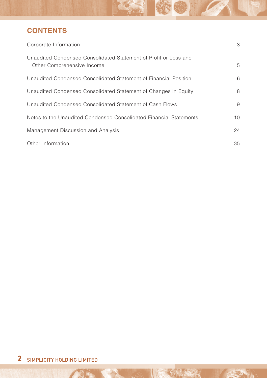## **CONTENTS**

| Corporate Information                                                                          | 3               |
|------------------------------------------------------------------------------------------------|-----------------|
| Unaudited Condensed Consolidated Statement of Profit or Loss and<br>Other Comprehensive Income | 5               |
| Unaudited Condensed Consolidated Statement of Financial Position                               | 6               |
| Unaudited Condensed Consolidated Statement of Changes in Equity                                | 8               |
| Unaudited Condensed Consolidated Statement of Cash Flows                                       | 9               |
| Notes to the Unaudited Condensed Consolidated Financial Statements                             | 10 <sup>1</sup> |
| Management Discussion and Analysis                                                             | 24              |
| Other Information                                                                              | 35              |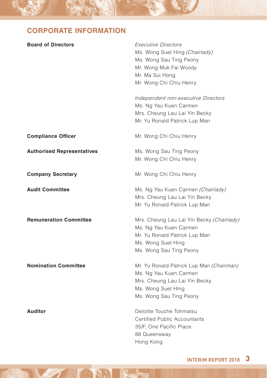## **CORPORATE INFORMATION**

| <b>Board of Directors</b>         | <b>Executive Directors</b><br>Ms. Wong Suet Hing (Chairlady)<br>Ms. Wong Sau Ting Peony<br>Mr. Wong Muk Fai Woody<br>Mr. Ma Sui Hong<br>Mr. Wong Chi Chiu Henry<br>Independent non-executive Directors<br>Ms. Ng Yau Kuen Carmen<br>Mrs. Cheung Lau Lai Yin Becky<br>Mr. Yu Ronald Patrick Lup Man |
|-----------------------------------|----------------------------------------------------------------------------------------------------------------------------------------------------------------------------------------------------------------------------------------------------------------------------------------------------|
| <b>Compliance Officer</b>         | Mr. Wong Chi Chiu Henry                                                                                                                                                                                                                                                                            |
| <b>Authorised Representatives</b> | Ms. Wong Sau Ting Peony<br>Mr. Wong Chi Chiu Henry                                                                                                                                                                                                                                                 |
| <b>Company Secretary</b>          | Mr. Wong Chi Chiu Henry                                                                                                                                                                                                                                                                            |
| <b>Audit Committee</b>            | Ms. Ng Yau Kuen Carmen (Chairlady)<br>Mrs. Cheung Lau Lai Yin Becky<br>Mr. Yu Ronald Patrick Lup Man                                                                                                                                                                                               |
| <b>Remuneration Committee</b>     | Mrs. Cheung Lau Lai Yin Becky (Chairlady)<br>Ms. Ng Yau Kuen Carmen<br>Mr. Yu Ronald Patrick Lup Man<br>Ms. Wong Suet Hing<br>Ms. Wong Sau Ting Peony                                                                                                                                              |
| <b>Nomination Committee</b>       | Mr. Yu Ronald Patrick Lup Man (Chairman)<br>Ms. Ng Yau Kuen Carmen<br>Mrs. Cheung Lau Lai Yin Becky<br>Ms. Wong Suet Hing<br>Ms. Wong Sau Ting Peony                                                                                                                                               |
| <b>Auditor</b>                    | Deloitte Touche Tohmatsu<br>Certified Public Accountants<br>35/F, One Pacific Place<br>88 Queensway<br>Hong Kong                                                                                                                                                                                   |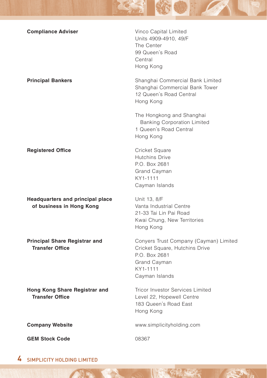| <b>Compliance Adviser</b>                                      | Vinco Capital Limited<br>Units 4909-4910, 49/F<br>The Center<br>99 Queen's Road<br>Central<br>Hong Kong                                 |
|----------------------------------------------------------------|-----------------------------------------------------------------------------------------------------------------------------------------|
| <b>Principal Bankers</b>                                       | Shanghai Commercial Bank Limited<br>Shanghai Commercial Bank Tower<br>12 Queen's Road Central<br>Hong Kong                              |
|                                                                | The Hongkong and Shanghai<br><b>Banking Corporation Limited</b><br>1 Queen's Road Central<br>Hong Kong                                  |
| <b>Registered Office</b>                                       | Cricket Square<br><b>Hutchins Drive</b><br>P.O. Box 2681<br><b>Grand Cayman</b><br>KY1-1111<br>Cayman Islands                           |
| Headquarters and principal place<br>of business in Hong Kong   | Unit 13, 8/F<br>Vanta Industrial Centre<br>21-33 Tai Lin Pai Road<br>Kwai Chung, New Territories<br>Hong Kong                           |
| <b>Principal Share Registrar and</b><br><b>Transfer Office</b> | Conyers Trust Company (Cayman) Limited<br>Cricket Square, Hutchins Drive<br>P.O. Box 2681<br>Grand Cayman<br>KY1-1111<br>Cayman Islands |
| Hong Kong Share Registrar and<br><b>Transfer Office</b>        | <b>Tricor Investor Services Limited</b><br>Level 22, Hopewell Centre<br>183 Queen's Road East<br>Hong Kong                              |
| <b>Company Website</b>                                         | www.simplicityholding.com                                                                                                               |
| <b>GEM Stock Code</b>                                          | 08367                                                                                                                                   |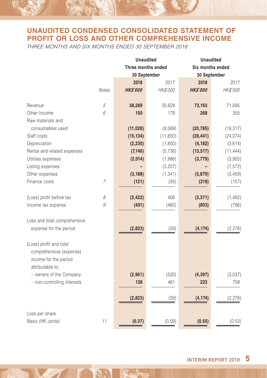## **UNAUDITED CONDENSED CONSOLIDATED STATEMENT OF PROFIT OR LOSS AND OTHER COMPREHENSIVE INCOME**

THREE MONTHS AND SIX MONTHS ENDED 30 SEPTEMBER 2018

|                              |              | <b>Unaudited</b>   |                 |                | <b>Unaudited</b> |  |  |
|------------------------------|--------------|--------------------|-----------------|----------------|------------------|--|--|
|                              |              | Three months ended |                 |                | Six months ended |  |  |
|                              |              | 30 September       |                 |                | 30 September     |  |  |
|                              |              | 2018               | 2017            | 2018           | 2017             |  |  |
|                              | <b>Notes</b> | <b>HKS'000</b>     | <b>HK\$'000</b> | <b>HKS'000</b> | HK\$'000         |  |  |
| Revenue                      | 5            | 38,289             | 35,629          | 73,163         | 71,695           |  |  |
| Other Income                 | 6            | 150                | 179             | 268            | 355              |  |  |
| Raw materials and            |              |                    |                 |                |                  |  |  |
| consumables used             |              | (11, 028)          | (9,589)         | (20, 785)      | (19, 317)        |  |  |
| Staff costs                  |              | (15, 134)          | (11,650)        | (28, 441)      | (24, 074)        |  |  |
| Depreciation                 |              | (2, 230)           | (1,800)         | (4, 182)       | (3,614)          |  |  |
| Rental and related expenses  |              | (7, 146)           | (5,736)         | (13, 517)      | (11, 444)        |  |  |
| Utilities expenses           |              | (2,014)            | (1,986)         | (3,779)        | (3,905)          |  |  |
| Listing expenses             |              |                    | (3,207)         |                | (7, 572)         |  |  |
| Other expenses               |              | (3, 188)           | (1, 341)        | (5,879)        | (3, 459)         |  |  |
| Finance costs                | 7            | (121)              | (93)            | (219)          | (157)            |  |  |
|                              |              |                    |                 |                |                  |  |  |
| (Loss) profit before tax     | 8            | (2, 422)           | 406             | (3, 371)       | (1, 492)         |  |  |
| Income tax expense           | 9            | (401)              | (465)           | (803)          | (786)            |  |  |
|                              |              |                    |                 |                |                  |  |  |
| Loss and total comprehensive |              |                    |                 |                |                  |  |  |
| expense for the period       |              | (2,823)            | (59)            | (4, 174)       | (2, 278)         |  |  |
|                              |              |                    |                 |                |                  |  |  |
| (Loss) profit and total      |              |                    |                 |                |                  |  |  |
| comprehensive (expense)      |              |                    |                 |                |                  |  |  |
| income for the period        |              |                    |                 |                |                  |  |  |
| attributable to:             |              |                    |                 |                |                  |  |  |
| - owners of the Company      |              | (2,961)            | (520)           | (4, 397)       | (3,037)          |  |  |
| - non-controlling interests  |              | 138                | 461             | 223            | 759              |  |  |
|                              |              |                    |                 |                |                  |  |  |
|                              |              | (2,823)            | (59)            | (4, 174)       | (2, 278)         |  |  |
|                              |              |                    |                 |                |                  |  |  |
| Loss per share               |              |                    |                 |                |                  |  |  |
| Basic (HK cents)             | 11           | (0.37)             | (0.09)          | (0.55)         | (0.53)           |  |  |
|                              |              |                    |                 |                |                  |  |  |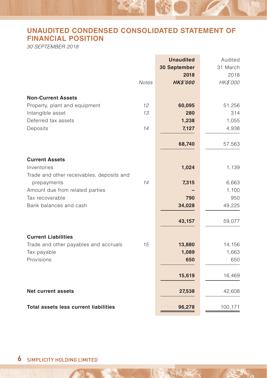## **UNAUDITED CONDENSED CONSOLIDATED STATEMENT OF FINANCIAL POSITION**

30 SEPTEMBER 2018

|                                              |              | <b>Unaudited</b><br>30 September | Audited<br>31 March |
|----------------------------------------------|--------------|----------------------------------|---------------------|
|                                              |              | 2018                             | 2018                |
|                                              | <b>Notes</b> | <b>HK\$'000</b>                  | HK\$'000            |
|                                              |              |                                  |                     |
| <b>Non-Current Assets</b>                    |              |                                  |                     |
| Property, plant and equipment                | 12           | 60,095                           | 51,256              |
| Intangible asset                             | 13           | 280                              | 314                 |
| Deferred tax assets                          |              | 1,238                            | 1,055               |
| Deposits                                     | 14           | 7,127                            | 4,938               |
|                                              |              |                                  |                     |
|                                              |              | 68,740                           | 57,563              |
|                                              |              |                                  |                     |
| <b>Current Assets</b>                        |              |                                  |                     |
| Inventories                                  |              | 1,024                            | 1,139               |
| Trade and other receivables, deposits and    |              |                                  |                     |
| prepayments                                  | 14           | 7,315                            | 6,663               |
| Amount due from related parties              |              |                                  | 1,100               |
| Tax recoverable                              |              | 790                              | 950                 |
| Bank balances and cash                       |              | 34,028                           | 49,225              |
|                                              |              |                                  |                     |
|                                              |              | 43,157                           | 59,077              |
| <b>Current Liabilities</b>                   |              |                                  |                     |
| Trade and other payables and accruals        | 15           | 13,880                           | 14,156              |
| Tax payable                                  |              | 1,089                            | 1,663               |
| Provisions                                   |              | 650                              | 650                 |
|                                              |              |                                  |                     |
|                                              |              | 15,619                           | 16,469              |
| <b>Net current assets</b>                    |              | 27,538                           | 42,608              |
|                                              |              |                                  |                     |
| <b>Total assets less current liabilities</b> |              | 96,278                           | 100,171             |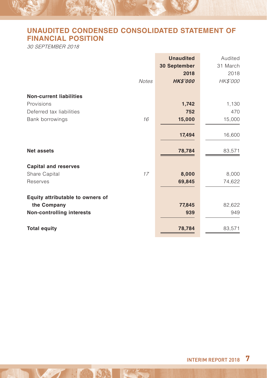## **UNAUDITED CONDENSED CONSOLIDATED STATEMENT OF FINANCIAL POSITION**

30 SEPTEMBER 2018

|                                  | <b>Unaudited</b>    | Audited  |
|----------------------------------|---------------------|----------|
|                                  | <b>30 September</b> | 31 March |
|                                  | 2018                | 2018     |
| <b>Notes</b>                     | <b>HK\$'000</b>     | HK\$'000 |
| <b>Non-current liabilities</b>   |                     |          |
| Provisions                       | 1,742               | 1,130    |
| Deferred tax liabilities         | 752                 | 470      |
| 16<br>Bank borrowings            | 15,000              | 15,000   |
|                                  | 17,494              | 16,600   |
| <b>Net assets</b>                | 78,784              | 83,571   |
| <b>Capital and reserves</b>      |                     |          |
| 17<br>Share Capital              | 8,000               | 8,000    |
| Reserves                         | 69,845              | 74,622   |
| Equity attributable to owners of |                     |          |
| the Company                      | 77,845              | 82,622   |
| <b>Non-controlling interests</b> | 939                 | 949      |
| <b>Total equity</b>              | 78,784              | 83,571   |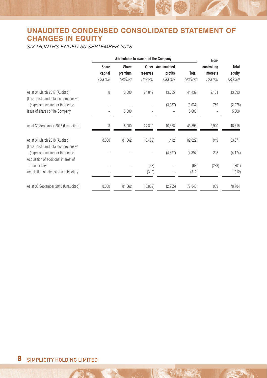## **UNAUDITED CONDENSED CONSOLIDATED STATEMENT OF CHANGES IN EQUITY**

SIX MONTHS ENDED 30 SEPTEMBER 2018

|                                                                          | Attributable to owners of the Company |                 |                 |                   |                 | Non-            |                 |
|--------------------------------------------------------------------------|---------------------------------------|-----------------|-----------------|-------------------|-----------------|-----------------|-----------------|
|                                                                          | Share                                 | Share           |                 | Other Accumulated |                 | controlling     | Total           |
|                                                                          | capital                               | premium         | reserves        | profits           | Total           | interests       | equity          |
|                                                                          | <i>HK\$'000</i>                       | <i>HK\$'000</i> | <b>HK\$'000</b> | <b>HK\$'000</b>   | <b>HK\$'000</b> | <b>HK\$'000</b> | <i>HK\$'000</i> |
| As at 31 March 2017 (Audited)<br>(Loss) profit and total comprehensive   | 8                                     | 3,000           | 24,819          | 13,605            | 41,432          | 2,161           | 43,593          |
| (expense) income for the period                                          |                                       |                 |                 | (3,037)           | (3.037)         | 759             | (2, 278)        |
| Issue of shares of the Company                                           |                                       | 5,000           |                 |                   | 5,000           |                 | 5,000           |
| As at 30 September 2017 (Unaudited)                                      | 8                                     | 8,000           | 24,819          | 10,568            | 43,395          | 2,920           | 46,315          |
| As at 31 March 2018 (Audited)<br>(Loss) profit and total comprehensive   | 8,000                                 | 81,662          | (8, 482)        | 1,442             | 82,622          | 949             | 83,571          |
| (expense) income for the period<br>Acquisition of additional interest of |                                       |                 |                 | (4, 397)          | (4, 397)        | 223             | (4, 174)        |
| a subsidiary                                                             |                                       |                 | (68)            |                   | (68)            | (233)           | (301)           |
| Acquisition of interest of a subsidiary                                  |                                       |                 | (312)           |                   | (312)           |                 | (312)           |
| As at 30 September 2018 (Unaudited)                                      | 8,000                                 | 81,662          | (8,862)         | (2,955)           | 77,845          | 939             | 78,784          |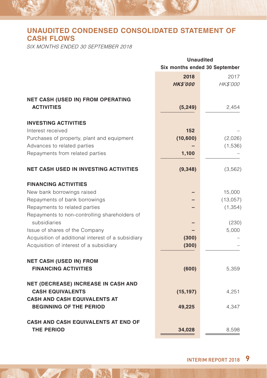## **UNAUDITED CONDENSED CONSOLIDATED STATEMENT OF CASH FLOWS**

SIX MONTHS ENDED 30 SEPTEMBER 2018

|                                                                       | <b>Unaudited</b>              |          |  |
|-----------------------------------------------------------------------|-------------------------------|----------|--|
|                                                                       | Six months ended 30 September |          |  |
|                                                                       | 2018                          | 2017     |  |
|                                                                       | <b>HK\$'000</b>               | HK\$'000 |  |
| <b>NET CASH (USED IN) FROM OPERATING</b>                              |                               |          |  |
| <b>ACTIVITIES</b>                                                     | (5, 249)                      | 2,454    |  |
| <b>INVESTING ACTIVITIES</b>                                           |                               |          |  |
| Interest received                                                     | 152                           |          |  |
| Purchases of property, plant and equipment                            | (10,600)                      | (2,026)  |  |
| Advances to related parties                                           |                               | (1,536)  |  |
| Repayments from related parties                                       | 1,100                         |          |  |
| <b>NET CASH USED IN INVESTING ACTIVITIES</b>                          | (9, 348)                      | (3, 562) |  |
| <b>FINANCING ACTIVITIES</b>                                           |                               |          |  |
| New bank borrowings raised                                            |                               | 15,000   |  |
| Repayments of bank borrowings                                         |                               | (13,057) |  |
| Repayments to related parties                                         |                               | (1, 354) |  |
| Repayments to non-controlling shareholders of<br>subsidiaries         |                               | (230)    |  |
| Issue of shares of the Company                                        |                               | 5,000    |  |
| Acquisition of additional interest of a subsidiary                    | (300)                         |          |  |
| Acquisition of interest of a subsidiary                               | (300)                         |          |  |
| <b>NET CASH (USED IN) FROM</b>                                        |                               |          |  |
| <b>FINANCING ACTIVITIES</b>                                           | (600)                         | 5,359    |  |
| <b>NET (DECREASE) INCREASE IN CASH AND</b>                            |                               |          |  |
| <b>CASH EQUIVALENTS</b>                                               | (15, 197)                     | 4,251    |  |
| <b>CASH AND CASH EQUIVALENTS AT</b><br><b>BEGINNING OF THE PERIOD</b> | 49,225                        | 4,347    |  |
| <b>CASH AND CASH EQUIVALENTS AT END OF</b>                            |                               |          |  |
| <b>THE PERIOD</b>                                                     | 34,028                        | 8,598    |  |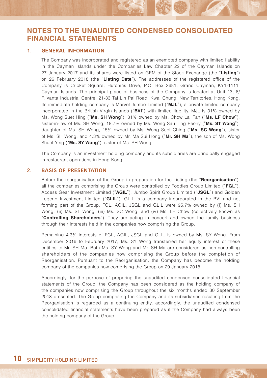### **1. GENERAL INFORMATION**

The Company was incorporated and registered as an exempted company with limited liability in the Cayman Islands under the Companies Law Chapter 22 of the Cayman Islands on 27 January 2017 and its shares were listed on GEM of the Stock Exchange (the "**Listing**") on 26 February 2018 (the "**Listing Date**"). The addresses of the registered office of the Company is Cricket Square, Hutchins Drive, P.O. Box 2681, Grand Cayman, KY1-1111, Cayman Islands. The principal place of business of the Company is located at Unit 13, 8/ F, Vanta Industrial Centre, 21-33 Tai Lin Pai Road, Kwai Chung, New Territories, Hong Kong. Its immediate holding company is Marvel Jumbo Limited ("**MJL**"), a private limited company incorporated in the British Virgin Islands ("**BVI**") with limited liability. MJL is 31% owned by Ms. Wong Suet Hing ("**Ms. SH Wong**"), 31% owned by Ms. Chow Lai Fan ("**Ms. LF Chow**"), sister-in-law of Ms. SH Wong, 18.7% owned by Ms. Wong Sau Ting Peony ("**Ms. ST Wong**"), daughter of Ms. SH Wong, 15% owned by Ms. Wong Suet Ching ("**Ms. SC Wong**"), sister of Ms. SH Wong, and 4.3% owned by Mr. Ma Sui Hong ("**Mr. SH Ma**"), the son of Ms. Wong Shuet Ying ("**Ms. SY Wong**"), sister of Ms. SH Wong.

The Company is an investment holding company and its subsidiaries are principally engaged in restaurant operations in Hong Kong.

#### **2. BASIS OF PRESENTATION**

Before the reorganisation of the Group in preparation for the Listing (the "**Reorganisation**"), all the companies comprising the Group were controlled by Foodies Group Limited ("**FGL**"), Access Gear Investment Limited ("**AGIL**"), Jumbo Spirit Group Limited ("**JSGL**") and Golden Legend Investment Limited ("**GLIL**"). GLIL is a company incorporated in the BVI and not forming part of the Group. FGL, AGIL, JSGL and GLIL were 95.7% owned by (i) Ms. SH Wong; (ii) Ms. ST Wong; (iii) Ms. SC Wong; and (iv) Ms. LF Chow (collectively known as "**Controlling Shareholders**"). They are acting in concert and owned the family business through their interests held in the companies now comprising the Group.

Remaining 4.3% interests of FGL, AGIL, JSGL and GLIL is owned by Ms. SY Wong. From December 2016 to February 2017, Ms. SY Wong transferred her equity interest of these entities to Mr. SH Ma. Both Ms. SY Wong and Mr. SH Ma are considered as non-controlling shareholders of the companies now comprising the Group before the completion of Reorganisation. Pursuant to the Reorganisation, the Company has become the holding company of the companies now comprising the Group on 29 January 2018.

Accordingly, for the purpose of preparing the unaudited condensed consolidated financial statements of the Group, the Company has been considered as the holding company of the companies now comprising the Group throughout the six months ended 30 September 2018 presented. The Group comprising the Company and its subsidiaries resulting from the Reorganisation is regarded as a continuing entity, accordingly, the unaudited condensed consolidated financial statements have been prepared as if the Company had always been the holding company of the Group.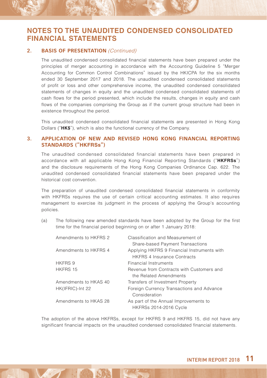#### **2. BASIS OF PRESENTATION** (Continued)

The unaudited condensed consolidated financial statements have been prepared under the principles of merger accounting in accordance with the Accounting Guideline 5 "Merger Accounting for Common Control Combinations" issued by the HKICPA for the six months ended 30 September 2017 and 2018. The unaudited condensed consolidated statements of profit or loss and other comprehensive income, the unaudited condensed consolidated statements of changes in equity and the unaudited condensed consolidated statements of cash flows for the period presented, which include the results, changes in equity and cash flows of the companies comprising the Group as if the current group structure had been in existence throughout the period.

This unaudited condensed consolidated financial statements are presented in Hong Kong Dollars ("**HK\$**"), which is also the functional currency of the Company.

#### **3. APPLICATION OF NEW AND REVISED HONG KONG FINANCIAL REPORTING STANDARDS ("HKFRSs")**

The unaudited condensed consolidated financial statements have been prepared in accordance with all applicable Hong Kong Financial Reporting Standards ("**HKFRSs**") and the disclosure requirements of the Hong Kong Companies Ordinance Cap. 622. The unaudited condensed consolidated financial statements have been prepared under the historical cost convention.

The preparation of unaudited condensed consolidated financial statements in conformity with HKFRSs requires the use of certain critical accounting estimates. It also requires management to exercise its judgment in the process of applying the Group's accounting policies.

(a) The following new amended standards have been adopted by the Group for the first time for the financial period beginning on or after 1 January 2018:

| Amendments to HKFRS 2 | Classification and Measurement of                                                 |
|-----------------------|-----------------------------------------------------------------------------------|
|                       | Share-based Payment Transactions                                                  |
| Amendments to HKFRS 4 | Applying HKFRS 9 Financial Instruments with<br><b>HKERS 4 Insurance Contracts</b> |
| HKFRS 9               | <b>Financial Instruments</b>                                                      |
| HKFRS 15              | Revenue from Contracts with Customers and                                         |
|                       | the Related Amendments                                                            |
| Amendments to HKAS 40 | Transfers of Investment Property                                                  |
| HK(IFRIC)-Int 22      | Foreign Currency Transactions and Advance<br>Consideration                        |
| Amendments to HKAS 28 | As part of the Annual Improvements to<br><b>HKFRSs 2014-2016 Cycle</b>            |

The adoption of the above HKFRSs, except for HKFRS 9 and HKFRS 15, did not have any significant financial impacts on the unaudited condensed consolidated financial statements.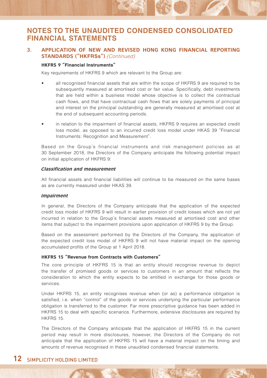### **3. APPLICATION OF NEW AND REVISED HONG KONG FINANCIAL REPORTING STANDARDS ("HKFRSs")** (Continued)

#### **HKFRS 9 "Financial Instruments"**

Key requirements of HKFRS 9 which are relevant to the Group are:

- all recognised financial assets that are within the scope of HKFRS 9 are required to be subsequently measured at amortised cost or fair value. Specifically, debt investments that are held within a business model whose objective is to collect the contractual cash flows, and that have contractual cash flows that are solely payments of principal and interest on the principal outstanding are generally measured at amortised cost at the end of subsequent accounting periods.
- in relation to the impairment of financial assets, HKFRS 9 requires an expected credit loss model, as opposed to an incurred credit loss model under HKAS 39 "Financial Instruments: Recognition and Measurement".

Based on the Group's financial instruments and risk management policies as at 30 September 2018, the Directors of the Company anticipate the following potential impact on initial application of HKFRS 9:

#### **Classification and measurement**

All financial assets and financial liabilities will continue to be measured on the same bases as are currently measured under HKAS 39.

#### **Impairment**

In general, the Directors of the Company anticipate that the application of the expected credit loss model of HKFRS 9 will result in earlier provision of credit losses which are not yet incurred in relation to the Group's financial assets measured at amortised cost and other items that subject to the impairment provisions upon application of HKFRS 9 by the Group.

Based on the assessment performed by the Directors of the Company, the application of the expected credit loss model of HKFRS 9 will not have material impact on the opening accumulated profits of the Group at 1 April 2018.

#### **HKFRS 15 "Revenue from Contracts with Customers"**

The core principle of HKFRS 15 is that an entity should recognise revenue to depict the transfer of promised goods or services to customers in an amount that reflects the consideration to which the entity expects to be entitled in exchange for those goods or services.

Under HKFRS 15, an entity recognises revenue when (or as) a performance obligation is satisfied, i.e. when "control" of the goods or services underlying the particular performance obligation is transferred to the customer. Far more prescriptive guidance has been added in HKFRS 15 to deal with specific scenarios. Furthermore, extensive disclosures are required by HKFRS 15.

The Directors of the Company anticipate that the application of HKFRS 15 in the current period may result in more disclosures, however, the Directors of the Company do not anticipate that the application of HKFRS 15 will have a material impact on the timing and amounts of revenue recognised in these unaudited condensed financial statements.

### **12** SIMPLICITY HOLDING LIMITED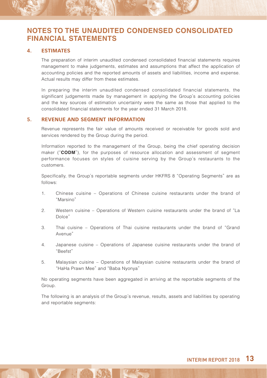#### **4. ESTIMATES**

The preparation of interim unaudited condensed consolidated financial statements requires management to make judgements, estimates and assumptions that affect the application of accounting policies and the reported amounts of assets and liabilities, income and expense. Actual results may differ from these estimates.

In preparing the interim unaudited condensed consolidated financial statements, the significant judgements made by management in applying the Group's accounting policies and the key sources of estimation uncertainty were the same as those that applied to the consolidated financial statements for the year ended 31 March 2018.

#### **5. REVENUE AND SEGMENT INFORMATION**

Revenue represents the fair value of amounts received or receivable for goods sold and services rendered by the Group during the period.

Information reported to the management of the Group, being the chief operating decision maker ("**CODM**"), for the purposes of resource allocation and assessment of segment performance focuses on styles of cuisine serving by the Group's restaurants to the customers.

Specifically, the Group's reportable segments under HKFRS 8 "Operating Segments" are as follows:

- 1. Chinese cuisine Operations of Chinese cuisine restaurants under the brand of "Marsino"
- 2. Western cuisine Operations of Western cuisine restaurants under the brand of "La Dolce"
- 3. Thai cuisine Operations of Thai cuisine restaurants under the brand of "Grand Avenue"
- 4. Japanese cuisine Operations of Japanese cuisine restaurants under the brand of "Beefst"
- 5. Malaysian cuisine Operations of Malaysian cuisine restaurants under the brand of "HaHa Prawn Mee" and "Baba Nyonya"

No operating segments have been aggregated in arriving at the reportable segments of the Group.

The following is an analysis of the Group's revenue, results, assets and liabilities by operating and reportable segments: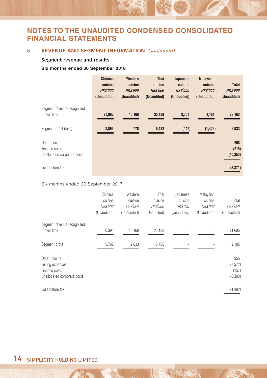### **5.** REVENUE AND SEGMENT INFORMATION (Continued)

#### **Segment revenue and results**

#### **Six months ended 30 September 2018**

|                                                              | <b>Chinese</b><br>cuisine<br><b>HKS'000</b><br>(Unaudited) | Western<br>cuisine<br><b>HKS'000</b><br>(Unaudited) | Thai<br>cuisine<br><b>HKS'000</b><br>(Unaudited) | Japanese<br>cuisine<br><b>HKS'000</b><br>(Unaudited) | <b>Malaysian</b><br>cuisine<br><b>HKS'000</b><br>(Unaudited) | <b>Total</b><br><b>HKS'000</b><br>(Unaudited) |
|--------------------------------------------------------------|------------------------------------------------------------|-----------------------------------------------------|--------------------------------------------------|------------------------------------------------------|--------------------------------------------------------------|-----------------------------------------------|
| Segment revenue recognised<br>over time                      | 21,882                                                     | 10,168                                              | 33,188                                           | 3,764                                                | 4,161                                                        | 73,163                                        |
| Segment profit (loss)                                        | 2,895                                                      | 778                                                 | 5,132                                            | (447)                                                | (1, 425)                                                     | 6,933                                         |
| Other income<br>Finance costs<br>Unallocated corporate costs |                                                            |                                                     |                                                  |                                                      |                                                              | 268<br>(219)<br>(10, 353)                     |
| Loss before tax                                              |                                                            |                                                     |                                                  |                                                      |                                                              | (3, 371)                                      |

#### Six months ended 30 September 2017

|                                                                                  | Chinese<br>cuisine<br><b>HK\$'000</b><br>(Unaudited) | Western<br>cuisine<br><b>HK\$'000</b><br>(Unaudited) | Thai<br>cuisine<br><b>HK\$'000</b><br>(Unaudited) | Japanese<br>cuisine<br><b>HK\$'000</b><br>(Unaudited) | Malaysian<br>cuisine<br><b>HK\$'000</b><br>(Unaudited) | Total<br><b>HK\$'000</b><br>(Unaudited) |
|----------------------------------------------------------------------------------|------------------------------------------------------|------------------------------------------------------|---------------------------------------------------|-------------------------------------------------------|--------------------------------------------------------|-----------------------------------------|
| Segment revenue recognised<br>over time                                          | 30,394                                               | 18,169                                               | 23,132                                            |                                                       |                                                        | 71,695                                  |
| Segment profit                                                                   | 5,767                                                | 2,633                                                | 3,785                                             |                                                       |                                                        | 12,185                                  |
| Other income<br>Listing expenses<br>Finance costs<br>Unallocated corporate costs |                                                      |                                                      |                                                   |                                                       |                                                        | 355<br>(7, 572)<br>(157)<br>(6, 303)    |
| Loss before tax                                                                  |                                                      |                                                      |                                                   |                                                       |                                                        | (1, 492)                                |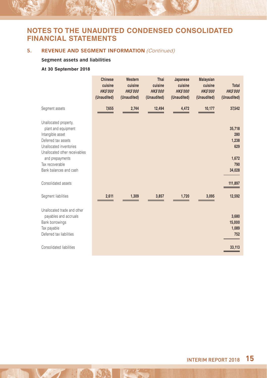### **5.** REVENUE AND SEGMENT INFORMATION (Continued)

#### **Segment assets and liabilities**

### **At 30 September 2018**

|                                                                                                                                                                                                                                            | <b>Chinese</b><br>cuisine<br><b>HKS'000</b><br>(Unaudited) | Western<br>cuisine<br><b>HKS'000</b><br>(Unaudited) | Thai<br>cuisine<br><b>HKS'000</b><br>(Unaudited) | Japanese<br>cuisine<br><b>HKS'000</b><br>(Unaudited) | <b>Malaysian</b><br>cuisine<br><b>HKS'000</b><br>(Unaudited) | <b>Total</b><br><b>HKS'000</b><br>(Unaudited)                      |
|--------------------------------------------------------------------------------------------------------------------------------------------------------------------------------------------------------------------------------------------|------------------------------------------------------------|-----------------------------------------------------|--------------------------------------------------|------------------------------------------------------|--------------------------------------------------------------|--------------------------------------------------------------------|
| Segment assets                                                                                                                                                                                                                             | 7,655                                                      | 2,744                                               | 12,494                                           | 4,472                                                | 10,177                                                       | 37,542                                                             |
| Unallocated property,<br>plant and equipment<br>Intangible asset<br>Deferred tax assets<br>Unallocated inventories<br>Unallocated other receivables<br>and prepayments<br>Tax recoverable<br>Bank balances and cash<br>Consolidated assets |                                                            |                                                     |                                                  |                                                      |                                                              | 35,718<br>280<br>1,238<br>629<br>1,672<br>790<br>34,028<br>111,897 |
| Segment liabilities                                                                                                                                                                                                                        | 2,611                                                      | 1,309                                               | 3,857                                            | 1,720                                                | 3,095                                                        | 12,592                                                             |
| Unallocated trade and other<br>payables and accruals<br>Bank borrowings<br>Tax payable<br>Deferred tax liabilities<br>Consolidated liabilities                                                                                             |                                                            |                                                     |                                                  |                                                      |                                                              | 3,680<br>15,000<br>1,089<br>752<br>33,113                          |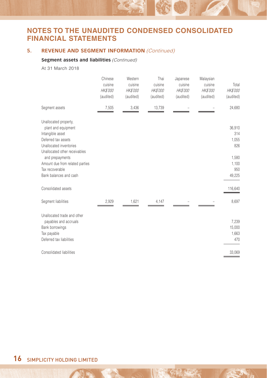### **5.** REVENUE AND SEGMENT INFORMATION (Continued)

#### **Segment assets and liabilities** (Continued)

At 31 March 2018

|                                                                                                                                                                                                                                                                               | Chinese<br>cuisine<br><b>HK\$'000</b><br>(audited) | Western<br>cuisine<br><b>HK\$'000</b><br>(audited) | Thai<br>cuisine<br><b>HK\$'000</b><br>(audited) | Japanese<br>cuisine<br><b>HK\$'000</b><br>(audited) | Malaysian<br>cuisine<br><b>HK\$'000</b><br>(audited) | Total<br>HK\$'000<br>(audited)                                              |
|-------------------------------------------------------------------------------------------------------------------------------------------------------------------------------------------------------------------------------------------------------------------------------|----------------------------------------------------|----------------------------------------------------|-------------------------------------------------|-----------------------------------------------------|------------------------------------------------------|-----------------------------------------------------------------------------|
| Segment assets                                                                                                                                                                                                                                                                | 7,505                                              | 3,436                                              | 13,739                                          |                                                     |                                                      | 24,680                                                                      |
| Unallocated property,<br>plant and equipment<br>Intangible asset<br>Deferred tax assets<br>Unallocated inventories<br>Unallocated other receivables<br>and prepayments<br>Amount due from related parties<br>Tax recoverable<br>Bank balances and cash<br>Consolidated assets |                                                    |                                                    |                                                 |                                                     |                                                      | 36,910<br>314<br>1,055<br>826<br>1,580<br>1,100<br>950<br>49,225<br>116,640 |
|                                                                                                                                                                                                                                                                               |                                                    |                                                    |                                                 |                                                     |                                                      |                                                                             |
| Segment liabilities                                                                                                                                                                                                                                                           | 2,929                                              | 1,621                                              | 4,147                                           |                                                     |                                                      | 8,697                                                                       |
| Unallocated trade and other<br>payables and accruals<br>Bank borrowings<br>Tax payable<br>Deferred tax liabilities                                                                                                                                                            |                                                    |                                                    |                                                 |                                                     |                                                      | 7,239<br>15,000<br>1,663<br>470                                             |
| Consolidated liabilities                                                                                                                                                                                                                                                      |                                                    |                                                    |                                                 |                                                     |                                                      | 33,069                                                                      |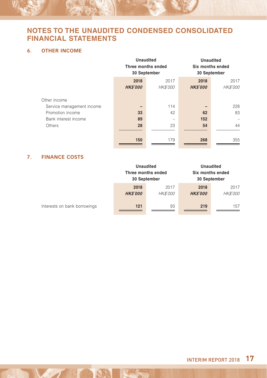### **6. OTHER INCOME**

|                           | <b>Unaudited</b><br>Three months ended<br>30 September |                 | <b>Unaudited</b><br>Six months ended<br>30 September |                 |
|---------------------------|--------------------------------------------------------|-----------------|------------------------------------------------------|-----------------|
|                           | 2018                                                   | 2017            | 2018                                                 | 2017            |
|                           | <b>HK\$'000</b>                                        | <b>HK\$'000</b> | <b>HK\$'000</b>                                      | <b>HK\$'000</b> |
| Other income              |                                                        |                 |                                                      |                 |
| Service management income |                                                        | 114             |                                                      | 228             |
| Promotion income          | 33                                                     | 42              | 62                                                   | 83              |
| Bank interest income      | 89                                                     |                 | 152                                                  |                 |
| Others                    | 28                                                     | 23              | 54                                                   | 44              |
|                           |                                                        |                 |                                                      |                 |
|                           | 150                                                    | 179             | 268                                                  | 355             |

### **7. FINANCE COSTS**

|                              | <b>Unaudited</b><br>Three months ended<br>30 September |                  | Six months ended<br>30 September | <b>Unaudited</b>        |
|------------------------------|--------------------------------------------------------|------------------|----------------------------------|-------------------------|
|                              | 2018<br><b>HKS'000</b>                                 | 2017<br>HK\$'000 | 2018<br><b>HKS'000</b>           | 2017<br><b>HK\$'000</b> |
| Interests on bank borrowings | 121                                                    | 93               | 219                              | 157                     |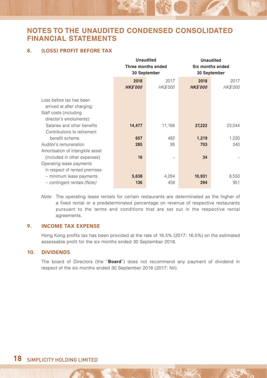### **8. (LOSS) PROFIT BEFORE TAX**

|                |                 | <b>Unaudited</b><br>Six months ended            |              |  |
|----------------|-----------------|-------------------------------------------------|--------------|--|
|                |                 |                                                 | 30 September |  |
| 2018           | 2017            | 2018                                            | 2017         |  |
| <b>HKS'000</b> | <b>HK\$'000</b> | <b>HK\$'000</b>                                 | HK\$'000     |  |
|                |                 |                                                 |              |  |
|                |                 |                                                 |              |  |
|                |                 |                                                 |              |  |
|                |                 |                                                 |              |  |
| 14,477         | 11,168          | 27,222                                          | 23,044       |  |
|                |                 |                                                 |              |  |
| 657            | 482             | 1,219                                           | 1,030        |  |
| 285            | 95              | 703                                             | 340          |  |
|                |                 |                                                 |              |  |
| 16             |                 | 34                                              |              |  |
|                |                 |                                                 |              |  |
|                |                 |                                                 |              |  |
| 5,638          | 4,284           | 10,931                                          | 8,550        |  |
| 136            | 458             | 294                                             | 951          |  |
|                |                 | Unaudited<br>Three months ended<br>30 September |              |  |

Note: The operating lease rentals for certain restaurants are determinated as the higher of a fixed rental or a predeterminated percentage on revenue of respective restaurants pursuant to the terms and conditions that are set out in the respective rental agreements.

### **9. INCOME TAX EXPENSE**

Hong Kong profits tax has been provided at the rate of 16.5% (2017: 16.5%) on the estimated assessable profit for the six months ended 30 September 2018.

#### **10. DIVIDENDS**

The board of Directors (the "**Board**") does not recommend any payment of dividend in respect of the six months ended 30 September 2018 (2017: Nil).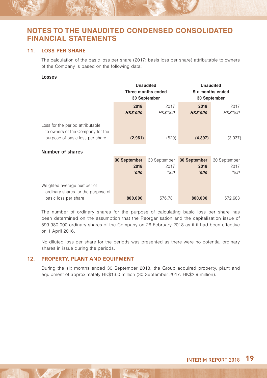#### **11. LOSS PER SHARE**

The calculation of the basic loss per share (2017: basis loss per share) attributable to owners of the Company is based on the following data:

#### **Losses**

|                                                                                                         | <b>Unaudited</b><br>Three months ended<br>30 September |              | <b>Unaudited</b><br>Six months ended<br>30 September |              |  |
|---------------------------------------------------------------------------------------------------------|--------------------------------------------------------|--------------|------------------------------------------------------|--------------|--|
|                                                                                                         | 2018                                                   | 2017         | 2018                                                 | 2017         |  |
|                                                                                                         | <b>HK\$'000</b>                                        | HK\$'000     | <b>HK\$'000</b>                                      | HK\$'000     |  |
| Loss for the period attributable<br>to owners of the Company for the<br>purpose of basic loss per share | (2,961)                                                | (520)        | (4, 397)                                             | (3,037)      |  |
| <b>Number of shares</b>                                                                                 |                                                        |              |                                                      |              |  |
|                                                                                                         | 30 September                                           | 30 September | 30 September                                         | 30 September |  |
|                                                                                                         | 2018<br>'000                                           | 2017<br>'000 | 2018<br>000'                                         | 2017<br>'000 |  |
|                                                                                                         |                                                        |              |                                                      |              |  |

| Weighted average number of         |         |         |         |         |
|------------------------------------|---------|---------|---------|---------|
| ordinary shares for the purpose of |         |         |         |         |
| basic loss per share               | 800,000 | 576.781 | 800,000 | 572.683 |

The number of ordinary shares for the purpose of calculating basic loss per share has been determined on the assumption that the Reorganisation and the capitalisation issue of 599,980,000 ordinary shares of the Company on 26 February 2018 as if it had been effective on 1 April 2016.

No diluted loss per share for the periods was presented as there were no potential ordinary shares in issue during the periods.

#### **12. PROPERTY, PLANT AND EQUIPMENT**

During the six months ended 30 September 2018, the Group acquired property, plant and equipment of approximately HK\$13.0 million (30 September 2017: HK\$2.9 million).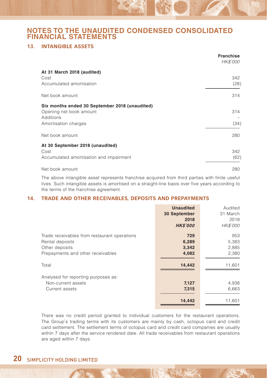### **13. INTANGIBLE ASSETS**

|                                                | <b>Franchise</b><br>HK\$'000 |
|------------------------------------------------|------------------------------|
| At 31 March 2018 (audited)                     |                              |
| Cost                                           | 342                          |
| Accumulated amortisation                       | (28)                         |
| Net book amount                                | 314                          |
| Six months ended 30 September 2018 (unaudited) |                              |
| Opening net book amount                        | 314                          |
| Additions                                      |                              |
| Amortisation charges                           | (34)                         |
| Net book amount                                | 280                          |
| At 30 September 2018 (unaudited)               |                              |
| Cost                                           | 342                          |
| Accumulated amortisation and impairment        | (62)                         |
| Net book amount                                | 280                          |

The above intangible asset represents franchise acquired from third parties with finite useful lives. Such intangible assets is amortised on a straight-line basis over five years according to the terms of the franchise agreement.

#### **14. TRADE AND OTHER RECEIVABLES, DEPOSITS AND PREPAYMENTS**

|                                              | <b>Unaudited</b><br>30 September<br>2018<br><b>HKS'000</b> | Audited<br>31 March<br>2018<br>HK\$'000 |
|----------------------------------------------|------------------------------------------------------------|-----------------------------------------|
| Trade receivables from restaurant operations | 729                                                        | 953                                     |
| Rental deposits                              | 6,289                                                      | 5,383                                   |
| Other deposits                               | 3,342                                                      | 2,885                                   |
| Prepayments and other receivables            | 4,082                                                      | 2,380                                   |
| Total                                        | 14.442                                                     | 11,601                                  |
| Analysed for reporting purposes as:          | 7,127                                                      | 4,938                                   |
| Non-current assets                           | 7,315                                                      | 6,663                                   |
| Current assets                               | 14,442                                                     | 11,601                                  |

There was no credit period granted to individual customers for the restaurant operations. The Group's trading terms with its customers are mainly by cash, octopus card and credit card settlement. The settlement terms of octopus card and credit card companies are usually within 7 days after the service rendered date. All trade receivables from restaurant operations are aged within 7 days.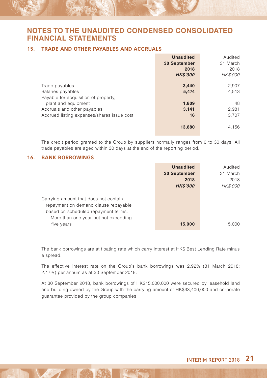### **15. TRADE AND OTHER PAYABLES AND ACCRUALS**

|                                            | <b>Unaudited</b> | Audited         |
|--------------------------------------------|------------------|-----------------|
|                                            | 30 September     | 31 March        |
|                                            | 2018             | 2018            |
|                                            | <b>HK\$'000</b>  | <b>HK\$'000</b> |
| Trade payables                             | 3,440            | 2,907           |
| Salaries payables                          | 5,474            | 4,513           |
| Payable for acquisition of property.       |                  |                 |
| plant and equipment                        | 1,809            | 48              |
| Accruals and other payables                | 3,141            | 2,981           |
| Accrued listing expenses/shares issue cost | 16               | 3.707           |
|                                            |                  |                 |
|                                            | 13,880           | 14.156          |

The credit period granted to the Group by suppliers normally ranges from 0 to 30 days. All trade payables are aged within 30 days at the end of the reporting period.

#### **16. BANK BORROWINGS**

|                                                                                                                      | <b>Unaudited</b> | Audited         |
|----------------------------------------------------------------------------------------------------------------------|------------------|-----------------|
|                                                                                                                      | 30 September     | 31 March        |
|                                                                                                                      | 2018             | 2018            |
|                                                                                                                      | <b>HKS'000</b>   | <b>HK\$'000</b> |
| Carrying amount that does not contain<br>repayment on demand clause repayable<br>based on scheduled repayment terms: |                  |                 |
| - More than one year but not exceeding<br>five years                                                                 | 15.000           | 15.000          |

The bank borrowings are at floating rate which carry interest at HK\$ Best Lending Rate minus a spread.

The effective interest rate on the Group's bank borrowings was 2.92% (31 March 2018: 2.17%) per annum as at 30 September 2018.

At 30 September 2018, bank borrowings of HK\$15,000,000 were secured by leasehold land and building owned by the Group with the carrying amount of HK\$33,400,000 and corporate guarantee provided by the group companies.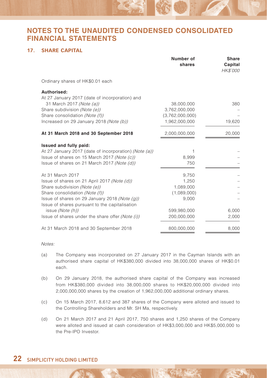### **17. SHARE CAPITAL**

|                                                       | Number of<br>shares | Share<br>Capital<br><b>HK\$'000</b> |
|-------------------------------------------------------|---------------------|-------------------------------------|
| Ordinary shares of HK\$0.01 each                      |                     |                                     |
| Authorised:                                           |                     |                                     |
| At 27 January 2017 (date of incorporation) and        |                     |                                     |
| 31 March 2017 (Note (a))                              | 38,000,000          | 380                                 |
| Share subdivision (Note (e))                          | 3,762,000,000       |                                     |
| Share consolidation (Note (f))                        | (3,762,000,000)     |                                     |
| Increased on 29 January 2018 (Note (b))               | 1,962,000,000       | 19,620                              |
| At 31 March 2018 and 30 September 2018                | 2,000,000,000       | 20,000                              |
| Issued and fully paid:                                |                     |                                     |
| At 27 January 2017 (date of incorporation) (Note (a)) | 1                   |                                     |
| Issue of shares on 15 March 2017 (Note (c))           | 8,999               |                                     |
| Issue of shares on 21 March 2017 (Note (d))           | 750                 |                                     |
| At 31 March 2017                                      | 9,750               |                                     |
| Issue of shares on 21 April 2017 (Note (d))           | 1,250               |                                     |
| Share subdivision (Note (e))                          | 1,089,000           |                                     |
| Share consolidation (Note (f))                        | (1,089,000)         |                                     |
| Issue of shares on 29 January 2018 (Note (q))         | 9,000               |                                     |
| Issue of shares pursuant to the capitalisation        |                     |                                     |
| issue (Note (h))                                      | 599,980,000         | 6,000                               |
| Issue of shares under the share offer (Note (i))      | 200,000,000         | 2,000                               |
| At 31 March 2018 and 30 September 2018                | 800,000,000         | 8,000                               |

Notes:

- (a) The Company was incorporated on 27 January 2017 in the Cayman Islands with an authorised share capital of HK\$380,000 divided into 38,000,000 shares of HK\$0.01 each.
- (b) On 29 January 2018, the authorised share capital of the Company was increased from HK\$380,000 divided into 38,000,000 shares to HK\$20,000,000 divided into 2,000,000,000 shares by the creation of 1,962,000,000 additional ordinary shares.
- (c) On 15 March 2017, 8,612 and 387 shares of the Company were alloted and issued to the Controlling Shareholders and Mr. SH Ma, respectively.
- (d) On 21 March 2017 and 21 April 2017, 750 shares and 1,250 shares of the Company were alloted and issued at cash consideration of HK\$3,000,000 and HK\$5,000,000 to the Pre-IPO Investor.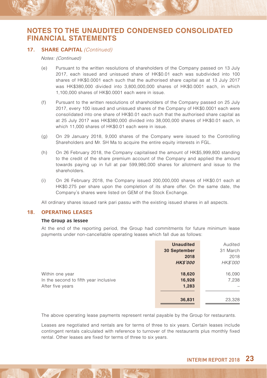#### 17. **SHARE CAPITAL** (Continued)

#### Notes: (Continued)

- (e) Pursuant to the written resolutions of shareholders of the Company passed on 13 July 2017, each issued and unissued share of HK\$0.01 each was subdivided into 100 shares of HK\$0.0001 each such that the authorised share capital as at 13 July 2017 was HK\$380,000 divided into 3,800,000,000 shares of HK\$0.0001 each, in which 1,100,000 shares of HK\$0.0001 each were in issue.
- (f) Pursuant to the written resolutions of shareholders of the Company passed on 25 July 2017, every 100 issued and unissued shares of the Company of HK\$0.0001 each were consolidated into one share of HK\$0.01 each such that the authorised share capital as at 25 July 2017 was HK\$380,000 divided into 38,000,000 shares of HK\$0.01 each, in which 11,000 shares of HK\$0.01 each were in issue.
- (g) On 29 January 2018, 9,000 shares of the Company were issued to the Controlling Shareholders and Mr. SH Ma to acquire the entire equity interests in FGL.
- (h) On 26 February 2018, the Company capitalised the amount of HK\$5,999,800 standing to the credit of the share premium account of the Company and applied the amount towards paying up in full at par 599,980,000 shares for allotment and issue to the shareholders.
- (i) On 26 February 2018, the Company issued 200,000,000 shares of HK\$0.01 each at HK\$0.275 per share upon the completion of its share offer. On the same date, the Company's shares were listed on GEM of the Stock Exchange.

All ordinary shares issued rank pari passu with the existing issued shares in all aspects.

#### **18. OPERATING LEASES**

#### **The Group as lessee**

At the end of the reporting period, the Group had commitments for future minimum lease payments under non-cancellable operating leases which fall due as follows:

|                                       | <b>Unaudited</b> | Audited  |
|---------------------------------------|------------------|----------|
|                                       | 30 September     | 31 March |
|                                       | 2018             | 2018     |
|                                       | <b>HK\$'000</b>  | HK\$'000 |
| Within one year                       | 18,620           | 16,090   |
| In the second to fifth year inclusive | 16,928           | 7,238    |
| After five years                      | 1,283            |          |
|                                       |                  |          |
|                                       | 36,831           | 23,328   |
|                                       |                  |          |

The above operating lease payments represent rental payable by the Group for restaurants.

Leases are negotiated and rentals are for terms of three to six years. Certain leases include contingent rentals calculated with reference to turnover of the restaurants plus monthly fixed rental. Other leases are fixed for terms of three to six years.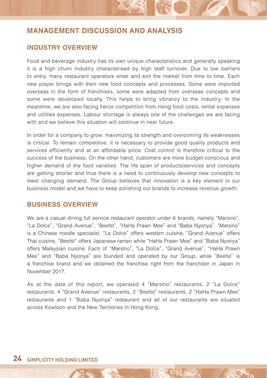### **INDUSTRY OVERVIEW**

Food and beverage industry has its own unique characteristics and generally speaking it is a high churn industry characterised by high staff turnover. Due to low barriers to entry, many restaurant operators enter and exit the market from time to time. Each new player brings with their new food concepts and processes. Some were imported overseas in the form of franchises, some were adapted from overseas concepts and some were developed locally. This helps to bring vibrancy to the industry. In the meantime, we are also facing fierce competition from rising food costs, rental expenses and utilities expenses. Labour shortage is always one of the challenges we are facing with and we believe this situation will continue in near future.

In order for a company to grow, maximizing its strength and overcoming its weaknesses is critical. To remain competitive, it is necessary to provide good quality products and services efficiently and at an affordable price. Cost control is therefore critical to the success of the business. On the other hand, customers are more budget conscious and higher demand of the food varieties. The life span of products/services and concepts are getting shorter and thus there is a need to continuously develop new concepts to meet changing demand. The Group believes that innovation is a key element in our business model and we have to keep polishing our brands to increase revenue growth.

### **BUSINESS OVERVIEW**

We are a casual dining full service restaurant operator under 6 brands, namely "Marsino", "La Dolce", "Grand Avenue", "Beefst", "HaHa Prawn Mee" and "Baba Nyonya". "Marsino" is a Chinese noodle specialist, "La Dolce" offers western cuisine, "Grand Avenue" offers Thai cuisine, "Beefst" offers Japanese ramen while "HaHa Prawn Mee" and "Baba Nyonya" offers Malaysian cuisine. Each of "Marsino", "La Dolce", "Grand Avenue", "HaHa Prawn Mee" and "Baba Nyonya" are founded and operated by our Group, while "Beefst" is a franchise brand and we obtained the franchise right from the franchisor in Japan in November 2017.

As at the date of this report, we operated 4 "Marsino" restaurants, 2 "La Dolce" restaurants, 4 "Grand Avenue" restaurants, 2 "Beefst" restaurants, 2 "HaHa Prawn Mee" restaurants and 1 "Baba Nyonya" restaurant and all of our restaurants are situated across Kowloon and the New Territories in Hong Kong.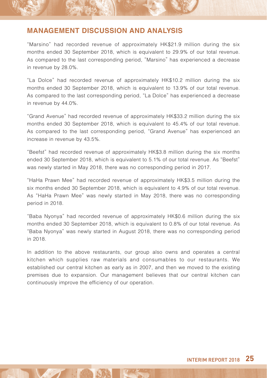"Marsino" had recorded revenue of approximately HK\$21.9 million during the six months ended 30 September 2018, which is equivalent to 29.9% of our total revenue. As compared to the last corresponding period, "Marsino" has experienced a decrease in revenue by 28.0%.

"La Dolce" had recorded revenue of approximately HK\$10.2 million during the six months ended 30 September 2018, which is equivalent to 13.9% of our total revenue. As compared to the last corresponding period, "La Dolce" has experienced a decrease in revenue by 44.0%.

"Grand Avenue" had recorded revenue of approximately HK\$33.2 million during the six months ended 30 September 2018, which is equivalent to 45.4% of our total revenue. As compared to the last corresponding period, "Grand Avenue" has experienced an increase in revenue by 43.5%.

"Beefst" had recorded revenue of approximately HK\$3.8 million during the six months ended 30 September 2018, which is equivalent to 5.1% of our total revenue. As "Beefst" was newly started in May 2018, there was no corresponding period in 2017.

"HaHa Prawn Mee" had recorded revenue of approximately HK\$3.5 million during the six months ended 30 September 2018, which is equivalent to 4.9% of our total revenue. As "HaHa Prawn Mee" was newly started in May 2018, there was no corresponding period in 2018.

"Baba Nyonya" had recorded revenue of approximately HK\$0.6 million during the six months ended 30 September 2018, which is equivalent to 0.8% of our total revenue. As "Baba Nyonya" was newly started in August 2018, there was no corresponding period in 2018.

In addition to the above restaurants, our group also owns and operates a central kitchen which supplies raw materials and consumables to our restaurants. We established our central kitchen as early as in 2007, and then we moved to the existing premises due to expansion. Our management believes that our central kitchen can continuously improve the efficiency of our operation.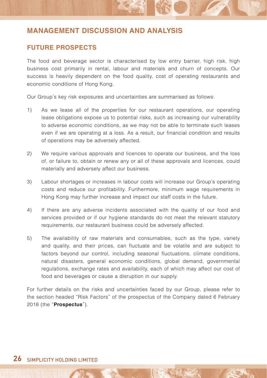### **FUTURE PROSPECTS**

The food and beverage sector is characterised by low entry barrier, high risk, high business cost primarily in rental, labour and materials and churn of concepts. Our success is heavily dependent on the food quality, cost of operating restaurants and economic conditions of Hong Kong.

Our Group's key risk exposures and uncertainties are summarised as follows:

- 1) As we lease all of the properties for our restaurant operations, our operating lease obligations expose us to potential risks, such as increasing our vulnerability to adverse economic conditions, as we may not be able to terminate such leases even if we are operating at a loss. As a result, our financial condition and results of operations may be adversely affected.
- 2) We require various approvals and licences to operate our business, and the loss of, or failure to, obtain or renew any or all of these approvals and licences, could materially and adversely affect our business.
- 3) Labour shortages or increases in labour costs will increase our Group's operating costs and reduce our profitability. Furthermore, minimum wage requirements in Hong Kong may further increase and impact our staff costs in the future.
- 4) If there are any adverse incidents associated with the quality of our food and services provided or if our hygiene standards do not meet the relevant statutory requirements, our restaurant business could be adversely affected.
- 5) The availability of raw materials and consumables, such as the type, variety and quality, and their prices, can fluctuate and be volatile and are subject to factors beyond our control, including seasonal fluctuations, climate conditions, natural disasters, general economic conditions, global demand, governmental regulations, exchange rates and availability, each of which may affect our cost of food and beverages or cause a disruption in our supply.

For further details on the risks and uncertainties faced by our Group, please refer to the section headed "Risk Factors" of the prospectus of the Company dated 6 February 2018 (the "**Prospectus**").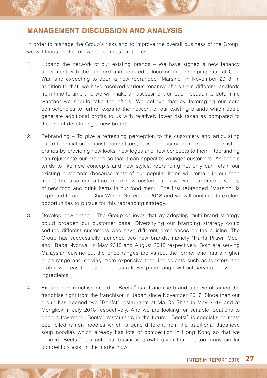In order to manage the Group's risks and to improve the overall business of the Group, we will focus on the following business strategies:

- 1. Expand the network of our existing brands We have signed a new tenancy agreement with the landlord and secured a location in a shopping mall at Chai Wan and expecting to open a new rebranded "Marsino" in November 2018. In addition to that, we have received various tenancy offers from different landlords from time to time and we will make an assessment on each location to determine whether we should take the offers. We believe that by leveraging our core competencies to further expand the network of our existing brands which could generate additional profits to us with relatively lower risk taken as compared to the risk of developing a new brand.
- 2. Rebranding To give a refreshing perception to the customers and articulating our differentiation against competitors, it is necessary to rebrand our existing brands by providing new looks, new logos and new concepts to them. Rebranding can rejuvenate our brands so that it can appeal to younger customers. As people tends to like new concepts and new styles, rebranding not only can retain our existing customers (because most of our popular items will remain in our food menu) but also can attract more new customers as we will introduce a variety of new food and drink items in our food menu. The first rebranded "Marsino" is expected to open in Chai Wan in November 2018 and we will continue to explore opportunities to pursue for this rebranding strategy.
- 3. Develop new brand The Group believes that by adopting multi-brand strategy could broaden our customer base. Diversifying our branding strategy could seduce different customers who have different preferences on the cuisine. The Group has successfully launched two new brands, namely "HaHa Prawn Mee" and "Baba Nyonya" in May 2018 and August 2018 respectively. Both are serving Malaysian cuisine but the price ranges are varied, the former one has a higher price range and serving more expensive food ingredients such as lobsters and crabs, whereas the latter one has a lower price range without serving pricy food ingredients.
- 4. Expand our franchise brand "Beefst" is a franchise brand and we obtained the franchise right from the franchisor in Japan since November 2017. Since then our group has opened two "Beefst" restaurants at Ma On Shan in May 2018 and at Mongkok in July 2018 respectively. And we are looking for suitable locations to open a few more "Beefst" restaurants in the future. "Beefst" is specialising roast beef oiled ramen noodles which is quite different from the traditional Japanese soup noodles which already has lots of competition in Hong Kong so that we believe "Beefst" has potential business growth given that not too many similar competitors exist in the market now.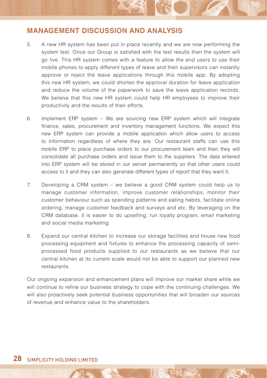- 5. A new HR system has been put in place recently and we are now performing the system test. Once our Group is satisfied with the test results then the system will go live. This HR system comes with a feature to allow the end users to use their mobile phones to apply different types of leave and their supervisors can instantly approve or reject the leave applications through this mobile app. By adopting this new HR system, we could shorten the approval duration for leave application and reduce the volume of the paperwork to save the leave application records. We believe that this new HR system could help HR employees to improve their productivity and the results of their efforts.
- 6. Implement ERP system We are sourcing new ERP system which will integrate finance, sales, procurement and inventory management functions. We expect this new ERP system can provide a mobile application which allow users to access to information regardless of where they are. Our restaurant staffs can use this mobile ERP to place purchase orders to our procurement team and then they will consolidate all purchase orders and issue them to the suppliers. The data entered into ERP system will be stored in our server permanently so that other users could access to it and they can also generate different types of report that they want it.
- 7. Developing a CRM system we believe a good CRM system could help us to manage customer information, improve customer relationships, monitor their customer behaviour such as spending patterns and eating habits, facilitate online ordering, manage customer feedback and surveys and etc. By leveraging on the CRM database, it is easier to do upselling, run loyalty program, email marketing and social media marketing.
- 8. Expand our central kitchen to increase our storage facilities and house new food processing equipment and fixtures to enhance the processing capacity of semiprocessed food products supplied to our restaurants as we believe that our central kitchen at its current scale would not be able to support our planned new restaurants.

Our ongoing expansion and enhancement plans will improve our market share while we will continue to refine our business strategy to cope with the continuing challenges. We will also proactively seek potential business opportunities that will broaden our sources of revenue and enhance value to the shareholders.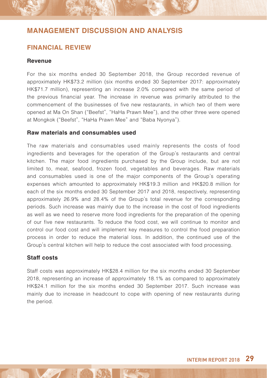### **FINANCIAL REVIEW**

#### **Revenue**

For the six months ended 30 September 2018, the Group recorded revenue of approximately HK\$73.2 million (six months ended 30 September 2017: approximately HK\$71.7 million), representing an increase 2.0% compared with the same period of the previous financial year. The increase in revenue was primarily attributed to the commencement of the businesses of five new restaurants, in which two of them were opened at Ma On Shan ("Beefst", "HaHa Prawn Mee"), and the other three were opened at Mongkok ("Beefst", "HaHa Prawn Mee" and "Baba Nyonya").

### **Raw materials and consumables used**

The raw materials and consumables used mainly represents the costs of food ingredients and beverages for the operation of the Group's restaurants and central kitchen. The major food ingredients purchased by the Group include, but are not limited to, meat, seafood, frozen food, vegetables and beverages. Raw materials and consumables used is one of the major components of the Group's operating expenses which amounted to approximately HK\$19.3 million and HK\$20.8 million for each of the six months ended 30 September 2017 and 2018, respectively, representing approximately 26.9% and 28.4% of the Group's total revenue for the corresponding periods. Such increase was mainly due to the increase in the cost of food ingredients as well as we need to reserve more food ingredients for the preparation of the opening of our five new restaurants. To reduce the food cost, we will continue to monitor and control our food cost and will implement key measures to control the food preparation process in order to reduce the material loss. In addition, the continued use of the Group's central kitchen will help to reduce the cost associated with food processing.

### **Staff costs**

Staff costs was approximately HK\$28.4 million for the six months ended 30 September 2018, representing an increase of approximately 18.1% as compared to approximately HK\$24.1 million for the six months ended 30 September 2017. Such increase was mainly due to increase in headcount to cope with opening of new restaurants during the period.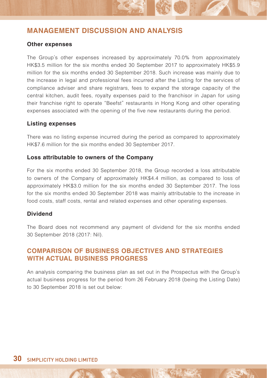### **Other expenses**

The Group's other expenses increased by approximately 70.0% from approximately HK\$3.5 million for the six months ended 30 September 2017 to approximately HK\$5.9 million for the six months ended 30 September 2018. Such increase was mainly due to the increase in legal and professional fees incurred after the Listing for the services of compliance adviser and share registrars, fees to expand the storage capacity of the central kitchen, audit fees, royalty expenses paid to the franchisor in Japan for using their franchise right to operate "Beefst" restaurants in Hong Kong and other operating expenses associated with the opening of the five new restaurants during the period.

#### **Listing expenses**

There was no listing expense incurred during the period as compared to approximately HK\$7.6 million for the six months ended 30 September 2017.

#### **Loss attributable to owners of the Company**

For the six months ended 30 September 2018, the Group recorded a loss attributable to owners of the Company of approximately HK\$4.4 million, as compared to loss of approximately HK\$3.0 million for the six months ended 30 September 2017. The loss for the six months ended 30 September 2018 was mainly attributable to the increase in food costs, staff costs, rental and related expenses and other operating expenses.

### **Dividend**

The Board does not recommend any payment of dividend for the six months ended 30 September 2018 (2017: Nil).

### **COMPARISON OF BUSINESS OBJECTIVES AND STRATEGIES WITH ACTUAL BUSINESS PROGRESS**

An analysis comparing the business plan as set out in the Prospectus with the Group's actual business progress for the period from 26 February 2018 (being the Listing Date) to 30 September 2018 is set out below: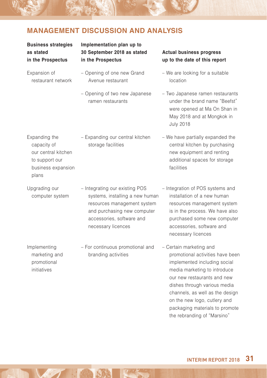### **Business strategies as stated in the Prospectus**

### **Implementation plan up to 30 September 2018 as stated in the Prospectus**

- Expansion of restaurant network – Opening of one new Grand Avenue restaurant
	- Opening of two new Japanese ramen restaurants

– Expanding our central kitchen storage facilities

- **Actual business progress up to the date of this report**
- We are looking for a suitable location
- Two Japanese ramen restaurants under the brand name "Beefst" were opened at Ma On Shan in May 2018 and at Mongkok in July 2018
- We have partially expanded the central kitchen by purchasing new equipment and renting additional spaces for storage facilities
- Expanding the capacity of our central kitchen to support our business expansion plans
- Upgrading our computer system
- Integrating our existing POS systems, installing a new human resources management system and purchasing new computer accessories, software and necessary licences
- Implementing marketing and promotional initiatives
- For continuous promotional and branding activities
- Integration of POS systems and installation of a new human resources management system is in the process. We have also purchased some new computer accessories, software and necessary licences
- Certain marketing and promotional activities have been implemented including social media marketing to introduce our new restaurants and new dishes through various media channels, as well as the design on the new logo, cutlery and packaging materials to promote the rebranding of "Marsino"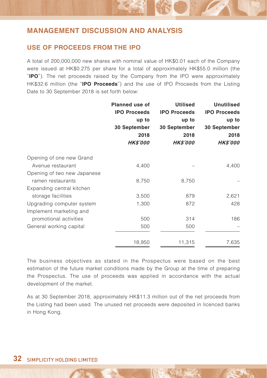### **USE OF PROCEEDS FROM THE IPO**

A total of 200,000,000 new shares with nominal value of HK\$0.01 each of the Company were issued at HK\$0.275 per share for a total of approximately HK\$55.0 million (the "**IPO**"). The net proceeds raised by the Company from the IPO were approximately HK\$32.6 million (the "**IPO Proceeds**") and the use of IPO Proceeds from the Listing Date to 30 September 2018 is set forth below:

|                             | Planned use of               | <b>Utilised</b><br><b>IPO Proceeds</b><br>up to | <b>Unutilised</b><br><b>IPO Proceeds</b><br>up to |
|-----------------------------|------------------------------|-------------------------------------------------|---------------------------------------------------|
|                             | <b>IPO Proceeds</b><br>up to |                                                 |                                                   |
|                             |                              |                                                 |                                                   |
|                             | 30 September                 | 30 September                                    | 30 September                                      |
|                             | 2018                         | 2018                                            | 2018                                              |
|                             | <b>HK\$'000</b>              | <b>HK\$'000</b>                                 | <b>HK\$'000</b>                                   |
| Opening of one new Grand    |                              |                                                 |                                                   |
| Avenue restaurant           | 4,400                        |                                                 | 4,400                                             |
| Opening of two new Japanese |                              |                                                 |                                                   |
| ramen restaurants           | 8,750                        | 8,750                                           |                                                   |
| Expanding central kitchen   |                              |                                                 |                                                   |
| storage facilities          | 3,500                        | 879                                             | 2,621                                             |
| Upgrading computer system   | 1,300                        | 872                                             | 428                                               |
| Implement marketing and     |                              |                                                 |                                                   |
| promotional activities      | 500                          | 314                                             | 186                                               |
| General working capital     | 500                          | 500                                             |                                                   |
|                             | 18,950                       | 11,315                                          | 7,635                                             |

The business objectives as stated in the Prospectus were based on the best estimation of the future market conditions made by the Group at the time of preparing the Prospectus. The use of proceeds was applied in accordance with the actual development of the market.

As at 30 September 2018, approximately HK\$11.3 million out of the net proceeds from the Listing had been used. The unused net proceeds were deposited in licenced banks in Hong Kong.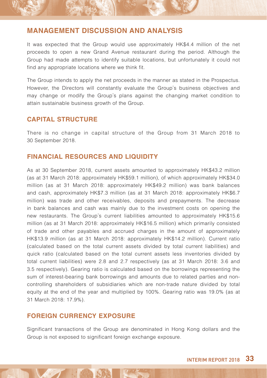It was expected that the Group would use approximately HK\$4.4 million of the net proceeds to open a new Grand Avenue restaurant during the period. Although the Group had made attempts to identify suitable locations, but unfortunately it could not find any appropriate locations where we think fit.

The Group intends to apply the net proceeds in the manner as stated in the Prospectus. However, the Directors will constantly evaluate the Group's business objectives and may change or modify the Group's plans against the changing market condition to attain sustainable business growth of the Group.

### **CAPITAL STRUCTURE**

There is no change in capital structure of the Group from 31 March 2018 to 30 September 2018.

### **FINANCIAL RESOURCES AND LIQUIDITY**

As at 30 September 2018, current assets amounted to approximately HK\$43.2 million (as at 31 March 2018: approximately HK\$59.1 million), of which approximately HK\$34.0 million (as at 31 March 2018: approximately HK\$49.2 million) was bank balances and cash, approximately HK\$7.3 million (as at 31 March 2018: approximately HK\$6.7 million) was trade and other receivables, deposits and prepayments. The decrease in bank balances and cash was mainly due to the investment costs on opening the new restaurants. The Group's current liabilities amounted to approximately HK\$15.6 million (as at 31 March 2018: approximately HK\$16.5 million) which primarily consisted of trade and other payables and accrued charges in the amount of approximately HK\$13.9 million (as at 31 March 2018: approximately HK\$14.2 million). Current ratio (calculated based on the total current assets divided by total current liabilities) and quick ratio (calculated based on the total current assets less inventories divided by total current liabilities) were 2.8 and 2.7 respectively (as at 31 March 2018: 3.6 and 3.5 respectively). Gearing ratio is calculated based on the borrowings representing the sum of interest-bearing bank borrowings and amounts due to related parties and noncontrolling shareholders of subsidiaries which are non-trade nature divided by total equity at the end of the year and multiplied by 100%. Gearing ratio was 19.0% (as at 31 March 2018: 17.9%).

### **FOREIGN CURRENCY EXPOSURE**

Significant transactions of the Group are denominated in Hong Kong dollars and the Group is not exposed to significant foreign exchange exposure.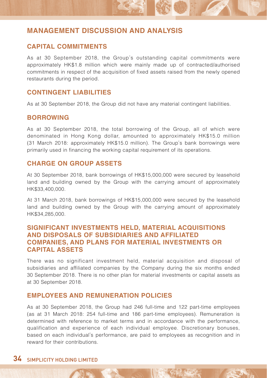### **CAPITAL COMMITMENTS**

As at 30 September 2018, the Group's outstanding capital commitments were approximately HK\$1.8 million which were mainly made up of contracted/authorised commitments in respect of the acquisition of fixed assets raised from the newly opened restaurants during the period.

### **CONTINGENT LIABILITIES**

As at 30 September 2018, the Group did not have any material contingent liabilities.

### **BORROWING**

As at 30 September 2018, the total borrowing of the Group, all of which were denominated in Hong Kong dollar, amounted to approximately HK\$15.0 million (31 March 2018: approximately HK\$15.0 million). The Group's bank borrowings were primarily used in financing the working capital requirement of its operations.

### **CHARGE ON GROUP ASSETS**

At 30 September 2018, bank borrowings of HK\$15,000,000 were secured by leasehold land and building owned by the Group with the carrying amount of approximately HK\$33,400,000.

At 31 March 2018, bank borrowings of HK\$15,000,000 were secured by the leasehold land and building owned by the Group with the carrying amount of approximately HK\$34,285,000.

### **SIGNIFICANT INVESTMENTS HELD, MATERIAL ACQUISITIONS AND DISPOSALS OF SUBSIDIARIES AND AFFILIATED COMPANIES, AND PLANS FOR MATERIAL INVESTMENTS OR CAPITAL ASSETS**

There was no significant investment held, material acquisition and disposal of subsidiaries and affiliated companies by the Company during the six months ended 30 September 2018. There is no other plan for material investments or capital assets as at 30 September 2018.

### **EMPLOYEES AND REMUNERATION POLICIES**

As at 30 September 2018, the Group had 246 full-time and 122 part-time employees (as at 31 March 2018: 254 full-time and 186 part-time employees). Remuneration is determined with reference to market terms and in accordance with the performance, qualification and experience of each individual employee. Discretionary bonuses, based on each individual's performance, are paid to employees as recognition and in reward for their contributions.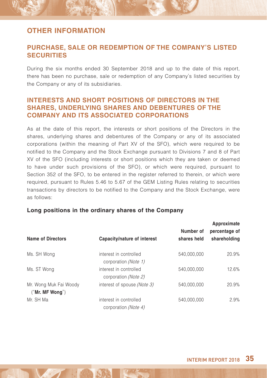### **PURCHASE, SALE OR REDEMPTION OF THE COMPANY'S LISTED SECURITIES**

During the six months ended 30 September 2018 and up to the date of this report, there has been no purchase, sale or redemption of any Company's listed securities by the Company or any of its subsidiaries.

### **INTERESTS AND SHORT POSITIONS OF DIRECTORS IN THE SHARES, UNDERLYING SHARES AND DEBENTURES OF THE COMPANY AND ITS ASSOCIATED CORPORATIONS**

As at the date of this report, the interests or short positions of the Directors in the shares, underlying shares and debentures of the Company or any of its associated corporations (within the meaning of Part XV of the SFO), which were required to be notified to the Company and the Stock Exchange pursuant to Divisions 7 and 8 of Part XV of the SFO (including interests or short positions which they are taken or deemed to have under such provisions of the SFO), or which were required, pursuant to Section 352 of the SFO, to be entered in the register referred to therein, or which were required, pursuant to Rules 5.46 to 5.67 of the GEM Listing Rules relating to securities transactions by directors to be notified to the Company and the Stock Exchange, were as follows:

### **Long positions in the ordinary shares of the Company**

| <b>Name of Directors</b>                  | Capacity/nature of interest                    | Number of<br>shares held | Approximate<br>percentage of<br>shareholding |
|-------------------------------------------|------------------------------------------------|--------------------------|----------------------------------------------|
| Ms. SH Wong                               | interest in controlled<br>corporation (Note 1) | 540.000.000              | 20.9%                                        |
| Ms. ST Wong                               | interest in controlled<br>corporation (Note 2) | 540.000.000              | 12.6%                                        |
| Mr. Wong Muk Fai Woody<br>("Mr. MF Wong") | interest of spouse <i>(Note 3)</i>             | 540.000.000              | 20.9%                                        |
| Mr. SH Ma                                 | interest in controlled<br>corporation (Note 4) | 540.000.000              | 2.9%                                         |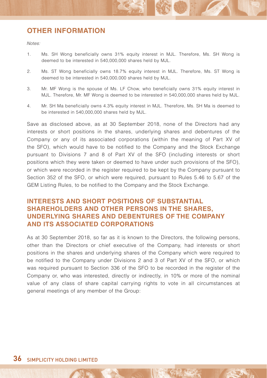$M \triangle$ 

- 1. Ms. SH Wong beneficially owns 31% equity interest in MJL. Therefore, Ms. SH Wong is deemed to be interested in 540,000,000 shares held by MJL.
- 2. Ms. ST Wong beneficially owns 18.7% equity interest in MJL. Therefore, Ms. ST Wong is deemed to be interested in 540,000,000 shares held by MJL.
- 3. Mr. MF Wong is the spouse of Ms. LF Chow, who beneficially owns 31% equity interest in MJL. Therefore, Mr. MF Wong is deemed to be interested in 540,000,000 shares held by MJL.
- 4. Mr. SH Ma beneficially owns 4.3% equity interest in MJL. Therefore, Ms. SH Ma is deemed to be interested in 540,000,000 shares held by MJL.

Save as disclosed above, as at 30 September 2018, none of the Directors had any interests or short positions in the shares, underlying shares and debentures of the Company or any of its associated corporations (within the meaning of Part XV of the SFO), which would have to be notified to the Company and the Stock Exchange pursuant to Divisions 7 and 8 of Part XV of the SFO (including interests or short positions which they were taken or deemed to have under such provisions of the SFO), or which were recorded in the register required to be kept by the Company pursuant to Section 352 of the SFO, or which were required, pursuant to Rules 5.46 to 5.67 of the GEM Listing Rules, to be notified to the Company and the Stock Exchange.

### **INTERESTS AND SHORT POSITIONS OF SUBSTANTIAL SHAREHOLDERS AND OTHER PERSONS IN THE SHARES, UNDERLYING SHARES AND DEBENTURES OF THE COMPANY AND ITS ASSOCIATED CORPORATIONS**

As at 30 September 2018, so far as it is known to the Directors, the following persons, other than the Directors or chief executive of the Company, had interests or short positions in the shares and underlying shares of the Company which were required to be notified to the Company under Divisions 2 and 3 of Part XV of the SFO, or which was required pursuant to Section 336 of the SFO to be recorded in the register of the Company or, who was interested, directly or indirectly, in 10% or more of the nominal value of any class of share capital carrying rights to vote in all circumstances at general meetings of any member of the Group: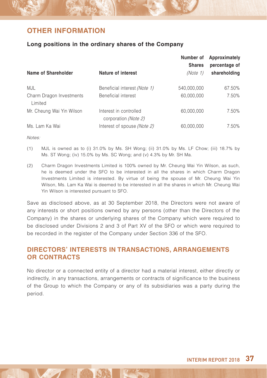### **Long positions in the ordinary shares of the Company**

|                                     |                                                | Number of<br><b>Shares</b> | Approximately<br>percentage of |
|-------------------------------------|------------------------------------------------|----------------------------|--------------------------------|
| Name of Shareholder                 | Nature of interest                             | (Note 1)                   | shareholding                   |
| MJL                                 | Beneficial interest (Note 1)                   | 540,000,000                | 67.50%                         |
| Charm Dragon Investments<br>Limited | Beneficial interest                            | 60,000,000                 | 7.50%                          |
| Mr. Cheung Wai Yin Wilson           | Interest in controlled<br>corporation (Note 2) | 60,000,000                 | 7.50%                          |
| Ms. Lam Ka Wai                      | Interest of spouse (Note 2)                    | 60.000.000                 | 7.50%                          |

Notes:

- (1) MJL is owned as to (i) 31.0% by Ms. SH Wong; (ii) 31.0% by Ms. LF Chow; (iii) 18.7% by Ms. ST Wong; (iv) 15.0% by Ms. SC Wong; and (v) 4.3% by Mr. SH Ma.
- (2) Charm Dragon Investments Limited is 100% owned by Mr. Cheung Wai Yin Wilson, as such, he is deemed under the SFO to be interested in all the shares in which Charm Dragon Investments Limited is interested. By virtue of being the spouse of Mr. Cheung Wai Yin Wilson, Ms. Lam Ka Wai is deemed to be interested in all the shares in which Mr. Cheung Wai Yin Wilson is interested pursuant to SFO.

Save as disclosed above, as at 30 September 2018, the Directors were not aware of any interests or short positions owned by any persons (other than the Directors of the Company) in the shares or underlying shares of the Company which were required to be disclosed under Divisions 2 and 3 of Part XV of the SFO or which were required to be recorded in the register of the Company under Section 336 of the SFO.

### **DIRECTORS' INTERESTS IN TRANSACTIONS, ARRANGEMENTS OR CONTRACTS**

No director or a connected entity of a director had a material interest, either directly or indirectly, in any transactions, arrangements or contracts of significance to the business of the Group to which the Company or any of its subsidiaries was a party during the period.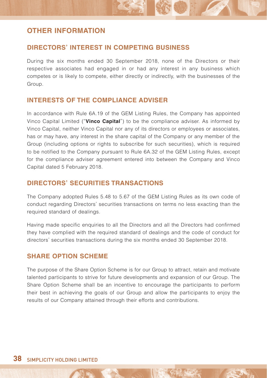### **DIRECTORS' INTEREST IN COMPETING BUSINESS**

During the six months ended 30 September 2018, none of the Directors or their respective associates had engaged in or had any interest in any business which competes or is likely to compete, either directly or indirectly, with the businesses of the Group.

### **INTERESTS OF THE COMPLIANCE ADVISER**

In accordance with Rule 6A.19 of the GEM Listing Rules, the Company has appointed Vinco Capital Limited ("**Vinco Capital**") to be the compliance adviser. As informed by Vinco Capital, neither Vinco Capital nor any of its directors or employees or associates, has or may have, any interest in the share capital of the Company or any member of the Group (including options or rights to subscribe for such securities), which is required to be notified to the Company pursuant to Rule 6A.32 of the GEM Listing Rules, except for the compliance adviser agreement entered into between the Company and Vinco Capital dated 5 February 2018.

### **DIRECTORS' SECURITIES TRANSACTIONS**

The Company adopted Rules 5.48 to 5.67 of the GEM Listing Rules as its own code of conduct regarding Directors' securities transactions on terms no less exacting than the required standard of dealings.

Having made specific enquiries to all the Directors and all the Directors had confirmed they have complied with the required standard of dealings and the code of conduct for directors' securities transactions during the six months ended 30 September 2018.

### **SHARE OPTION SCHEME**

The purpose of the Share Option Scheme is for our Group to attract, retain and motivate talented participants to strive for future developments and expansion of our Group. The Share Option Scheme shall be an incentive to encourage the participants to perform their best in achieving the goals of our Group and allow the participants to enjoy the results of our Company attained through their efforts and contributions.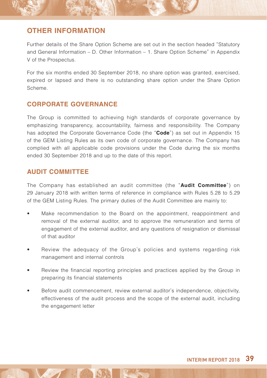Further details of the Share Option Scheme are set out in the section headed "Statutory and General Information – D. Other Information – 1. Share Option Scheme" in Appendix V of the Prospectus.

For the six months ended 30 September 2018, no share option was granted, exercised, expired or lapsed and there is no outstanding share option under the Share Option Scheme.

### **CORPORATE GOVERNANCE**

The Group is committed to achieving high standards of corporate governance by emphasizing transparency, accountability, fairness and responsibility. The Company has adopted the Corporate Governance Code (the "**Code**") as set out in Appendix 15 of the GEM Listing Rules as its own code of corporate governance. The Company has complied with all applicable code provisions under the Code during the six months ended 30 September 2018 and up to the date of this report.

### **AUDIT COMMITTEE**

The Company has established an audit committee (the "**Audit Committee**") on 29 January 2018 with written terms of reference in compliance with Rules 5.28 to 5.29 of the GEM Listing Rules. The primary duties of the Audit Committee are mainly to:

- Make recommendation to the Board on the appointment, reappointment and removal of the external auditor, and to approve the remuneration and terms of engagement of the external auditor, and any questions of resignation or dismissal of that auditor
- Review the adequacy of the Group's policies and systems regarding risk management and internal controls
- Review the financial reporting principles and practices applied by the Group in preparing its financial statements
- Before audit commencement, review external auditor's independence, objectivity, effectiveness of the audit process and the scope of the external audit, including the engagement letter